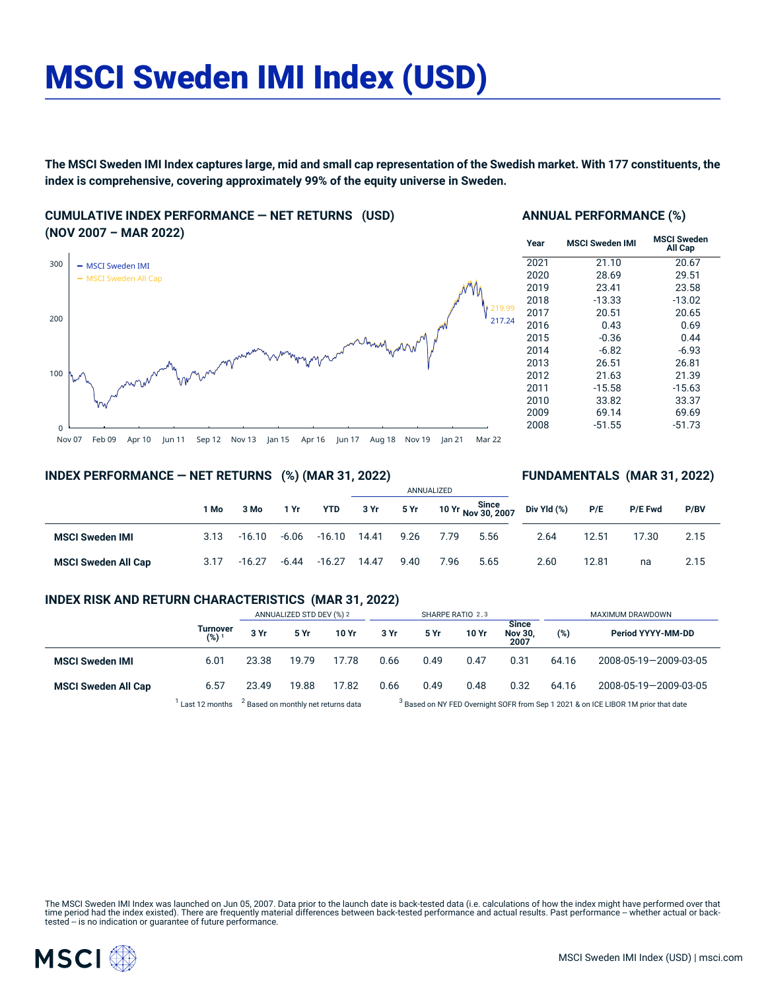# MSCI Sweden IMI Index (USD)

The MSCI Sweden IMI Index captures large, mid and small cap representation of the Swedish market. With 177 constituents, the **index is comprehensive, covering approximately 99% of the equity universe in Sweden.**

**CUMULATIVE INDEX PERFORMANCE — NET RETURNS (USD) (NOV 2007 – MAR 2022)**



#### **ANNUAL PERFORMANCE (%)**

| <b>MSCI Sweden IMI</b> | <b>MSCI Sweden</b><br>All Cap |
|------------------------|-------------------------------|
| 21.10                  | 20.67                         |
| 28.69                  | 29.51                         |
| 23.41                  | 23.58                         |
| $-13.33$               | $-13.02$                      |
| 20.51                  | 20.65                         |
| 0.43                   | 0.69                          |
| $-0.36$                | 0.44                          |
| $-6.82$                | $-6.93$                       |
| 26.51                  | 26.81                         |
| 21.63                  | 21.39                         |
| $-15.58$               | $-15.63$                      |
| 33.82                  | 33.37                         |
| 69.14                  | 69.69                         |
| $-51.55$               | $-51.73$                      |
|                        |                               |

**FUNDAMENTALS (MAR 31, 2022)**

#### **INDEX PERFORMANCE — NET RETURNS (%) (MAR 31, 2022)**

|                            |      |          |         |            | ANNUALIZED |      |      |                             |             |       |         |      |
|----------------------------|------|----------|---------|------------|------------|------|------|-----------------------------|-------------|-------|---------|------|
|                            | 1 Mo | 3 Mo     | 1 Yr    | <b>YTD</b> | 3 Yr       | 5 Yr |      | 10 Yr Since<br>Nov 30, 2007 | Div Yld (%) | P/E   | P/E Fwd | P/BV |
| <b>MSCI Sweden IMI</b>     | 3.13 | $-16.10$ | $-6.06$ | -16.10     | 14.41      | 9.26 | 7.79 | 5.56                        | 2.64        | 12.51 | 17.30   | 2.15 |
| <b>MSCI Sweden All Cap</b> | 3.17 | $-16.27$ | $-6.44$ | $-16.27$   | 14.47      | 9.40 | 7.96 | 5.65                        | 2.60        | 12.81 | na      | 2.15 |

# **INDEX RISK AND RETURN CHARACTERISTICS (MAR 31, 2022)**

|                            |                              |       | ANNUALIZED STD DEV (%) 2 |       | SHARPE RATIO 2,3 |      |       |                                        |       | MAXIMUM DRAWDOWN      |  |  |
|----------------------------|------------------------------|-------|--------------------------|-------|------------------|------|-------|----------------------------------------|-------|-----------------------|--|--|
|                            | Turnover<br>(%) <sup>1</sup> | 3 Yr  | 5 Yr                     | 10 Yr | 3 Yr             | 5 Yr | 10 Yr | <b>Since</b><br><b>Nov 30,</b><br>2007 | (%)   | Period YYYY-MM-DD     |  |  |
| <b>MSCI Sweden IMI</b>     | 6.01                         | 23.38 | 19.79                    | 17.78 | 0.66             | 0.49 | 0.47  | 0.31                                   | 64.16 | 2008-05-19-2009-03-05 |  |  |
| <b>MSCI Sweden All Cap</b> | 6.57                         | 23.49 | 19.88                    | 17.82 | 0.66             | 0.49 | 0.48  | 0.32                                   | 64.16 | 2008-05-19-2009-03-05 |  |  |

 $^1$  Last 12 months  $^2$  Based on monthly net returns data  $^3$ 

<sup>3</sup> Based on NY FED Overnight SOFR from Sep 1 2021 & on ICE LIBOR 1M prior that date

The MSCI Sweden IMI Index was launched on Jun 05, 2007. Data prior to the launch date is back-tested data (i.e. calculations of how the index might have performed over that<br>time period had the index existed). There are fre

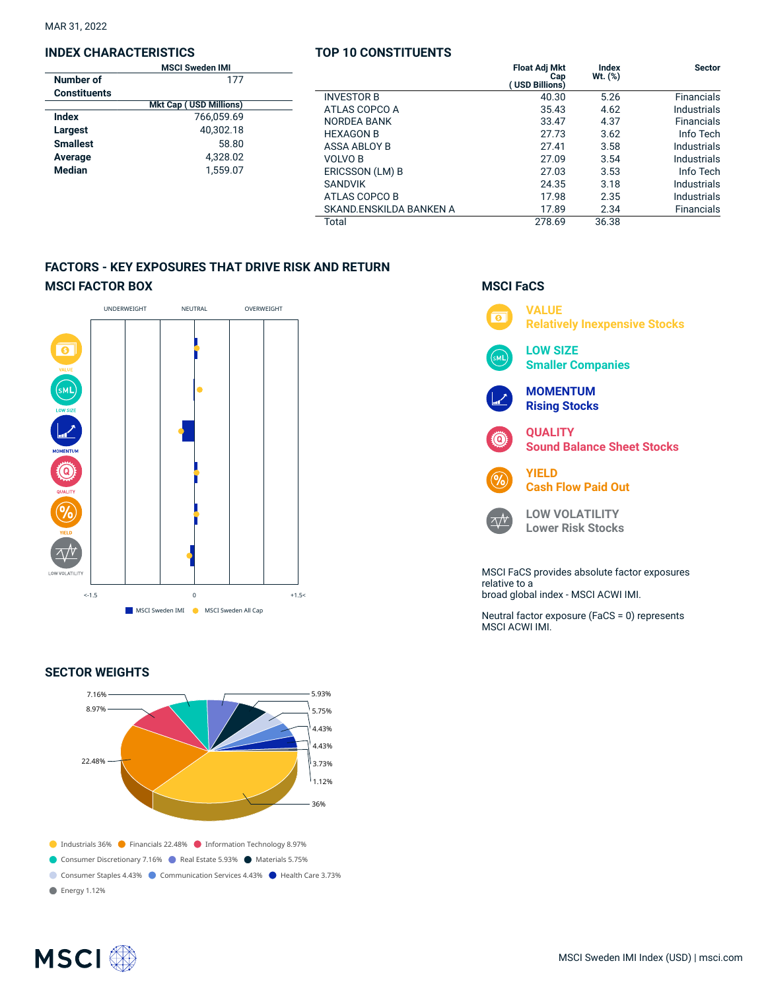MAR 31, 2022

## **INDEX CHARACTERISTICS**

| <b>MSCI Sweden IMI</b> |                               |  |  |  |  |
|------------------------|-------------------------------|--|--|--|--|
| Number of              | 177                           |  |  |  |  |
| <b>Constituents</b>    |                               |  |  |  |  |
|                        | <b>Mkt Cap (USD Millions)</b> |  |  |  |  |
| Index                  | 766.059.69                    |  |  |  |  |
| Largest                | 40,302.18                     |  |  |  |  |
| <b>Smallest</b>        | 58.80                         |  |  |  |  |
| Average                | 4,328.02                      |  |  |  |  |
| <b>Median</b>          | 1.559.07                      |  |  |  |  |
|                        |                               |  |  |  |  |

# **TOP 10 CONSTITUENTS**

|                         | <b>Float Adj Mkt</b><br>Cap<br>(USD Billions) | Index<br>Wt. (%) | <b>Sector</b>     |
|-------------------------|-----------------------------------------------|------------------|-------------------|
| <b>INVESTOR B</b>       | 40.30                                         | 5.26             | <b>Financials</b> |
| ATLAS COPCO A           | 35.43                                         | 4.62             | Industrials       |
| NORDEA BANK             | 33.47                                         | 4.37             | <b>Financials</b> |
| <b>HEXAGON B</b>        | 27.73                                         | 3.62             | Info Tech         |
| ASSA ABLOY B            | 27.41                                         | 3.58             | Industrials       |
| VOLVO B                 | 27.09                                         | 3.54             | Industrials       |
| ERICSSON (LM) B         | 27.03                                         | 3.53             | Info Tech         |
| <b>SANDVIK</b>          | 24.35                                         | 3.18             | Industrials       |
| ATLAS COPCO B           | 17.98                                         | 2.35             | Industrials       |
| SKAND.ENSKILDA BANKEN A | 17.89                                         | 2.34             | <b>Financials</b> |
| Total                   | 278.69                                        | 36.38            |                   |

# **FACTORS - KEY EXPOSURES THAT DRIVE RISK AND RETURN MSCI FACTOR BOX**



## **SECTOR WEIGHTS**



# **MSCI FaCS**



broad global index - MSCI ACWI IMI.

Neutral factor exposure (FaCS = 0) represents MSCI ACWI IMI.